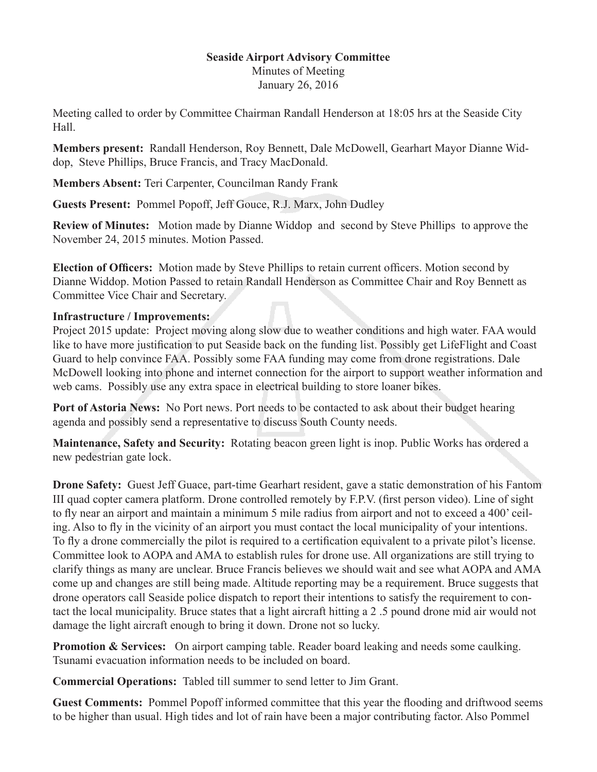## **Seaside Airport Advisory Committee**

Minutes of Meeting January 26, 2016

Meeting called to order by Committee Chairman Randall Henderson at 18:05 hrs at the Seaside City Hall.

**Members present:** Randall Henderson, Roy Bennett, Dale McDowell, Gearhart Mayor Dianne Widdop, Steve Phillips, Bruce Francis, and Tracy MacDonald.

**Members Absent:** Teri Carpenter, Councilman Randy Frank

**Guests Present:** Pommel Popoff, Jeff Gouce, R.J. Marx, John Dudley

**Review of Minutes:** Motion made by Dianne Widdop and second by Steve Phillips to approve the November 24, 2015 minutes. Motion Passed.

**Election of Officers:** Motion made by Steve Phillips to retain current officers. Motion second by Dianne Widdop. Motion Passed to retain Randall Henderson as Committee Chair and Roy Bennett as Committee Vice Chair and Secretary.

## **Infrastructure / Improvements:**

Project 2015 update: Project moving along slow due to weather conditions and high water. FAA would like to have more justification to put Seaside back on the funding list. Possibly get LifeFlight and Coast Guard to help convince FAA. Possibly some FAA funding may come from drone registrations. Dale McDowell looking into phone and internet connection for the airport to support weather information and web cams. Possibly use any extra space in electrical building to store loaner bikes.

**Port of Astoria News:** No Port news. Port needs to be contacted to ask about their budget hearing agenda and possibly send a representative to discuss South County needs.

**Maintenance, Safety and Security:** Rotating beacon green light is inop. Public Works has ordered a new pedestrian gate lock.

**Drone Safety:** Guest Jeff Guace, part-time Gearhart resident, gave a static demonstration of his Fantom III quad copter camera platform. Drone controlled remotely by F.P.V. (first person video). Line of sight to fly near an airport and maintain a minimum 5 mile radius from airport and not to exceed a 400' ceiling. Also to fly in the vicinity of an airport you must contact the local municipality of your intentions. To fly a drone commercially the pilot is required to a certification equivalent to a private pilot's license. Committee look to AOPA and AMA to establish rules for drone use. All organizations are still trying to clarify things as many are unclear. Bruce Francis believes we should wait and see what AOPA and AMA come up and changes are still being made. Altitude reporting may be a requirement. Bruce suggests that drone operators call Seaside police dispatch to report their intentions to satisfy the requirement to contact the local municipality. Bruce states that a light aircraft hitting a 2 .5 pound drone mid air would not damage the light aircraft enough to bring it down. Drone not so lucky.

**Promotion & Services:** On airport camping table. Reader board leaking and needs some caulking. Tsunami evacuation information needs to be included on board.

**Commercial Operations:** Tabled till summer to send letter to Jim Grant.

Guest Comments: Pommel Popoff informed committee that this year the flooding and driftwood seems to be higher than usual. High tides and lot of rain have been a major contributing factor. Also Pommel